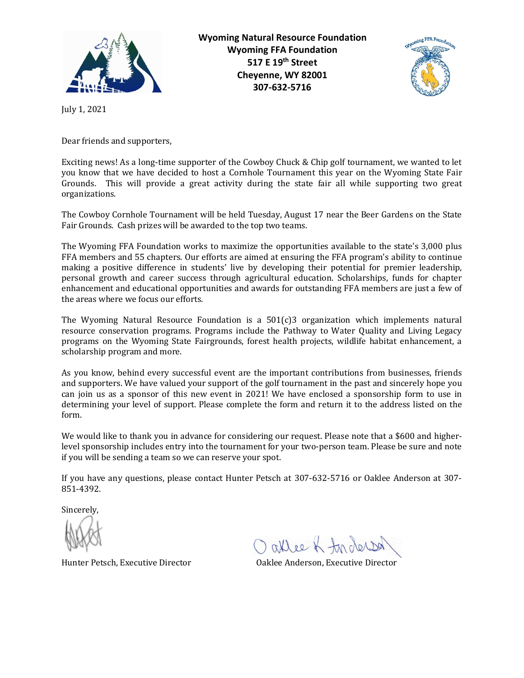

**Wyoming Natural Resource Foundation Wyoming FFA Foundation 517 E 19th Street Cheyenne, WY 82001 307-632-5716**



July 1, 2021

Dear friends and supporters,

Exciting news! As a long-time supporter of the Cowboy Chuck & Chip golf tournament, we wanted to let you know that we have decided to host a Cornhole Tournament this year on the Wyoming State Fair Grounds. This will provide a great activity during the state fair all while supporting two great organizations.

The Cowboy Cornhole Tournament will be held Tuesday, August 17 near the Beer Gardens on the State Fair Grounds. Cash prizes will be awarded to the top two teams.

The Wyoming FFA Foundation works to maximize the opportunities available to the state's 3,000 plus FFA members and 55 chapters. Our efforts are aimed at ensuring the FFA program's ability to continue making a positive difference in students' live by developing their potential for premier leadership, personal growth and career success through agricultural education. Scholarships, funds for chapter enhancement and educational opportunities and awards for outstanding FFA members are just a few of the areas where we focus our efforts.

The Wyoming Natural Resource Foundation is a 501(c)3 organization which implements natural resource conservation programs. Programs include the Pathway to Water Quality and Living Legacy programs on the Wyoming State Fairgrounds, forest health projects, wildlife habitat enhancement, a scholarship program and more.

As you know, behind every successful event are the important contributions from businesses, friends and supporters. We have valued your support of the golf tournament in the past and sincerely hope you can join us as a sponsor of this new event in 2021! We have enclosed a sponsorship form to use in determining your level of support. Please complete the form and return it to the address listed on the form.

We would like to thank you in advance for considering our request. Please note that a \$600 and higherlevel sponsorship includes entry into the tournament for your two-person team. Please be sure and note if you will be sending a team so we can reserve your spot.

If you have any questions, please contact Hunter Petsch at 307-632-5716 or Oaklee Anderson at 307- 851-4392.

Sincerely,

allee of tor derson

Hunter Petsch, Executive Director Oaklee Anderson, Executive Director